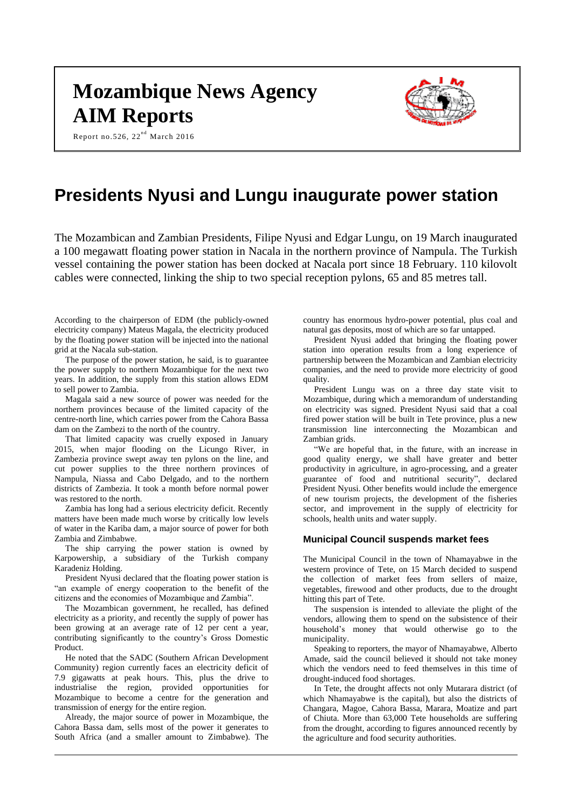# **Mozambique News Agency AIM Reports**



Report no.526,  $22^{nd}$  March 2016

# **Presidents Nyusi and Lungu inaugurate power station**

The Mozambican and Zambian Presidents, Filipe Nyusi and Edgar Lungu, on 19 March inaugurated a 100 megawatt floating power station in Nacala in the northern province of Nampula. The Turkish vessel containing the power station has been docked at Nacala port since 18 February. 110 kilovolt cables were connected, linking the ship to two special reception pylons, 65 and 85 metres tall.

According to the chairperson of EDM (the publicly-owned electricity company) Mateus Magala, the electricity produced by the floating power station will be injected into the national grid at the Nacala sub-station.

The purpose of the power station, he said, is to guarantee the power supply to northern Mozambique for the next two years. In addition, the supply from this station allows EDM to sell power to Zambia.

Magala said a new source of power was needed for the northern provinces because of the limited capacity of the centre-north line, which carries power from the Cahora Bassa dam on the Zambezi to the north of the country.

That limited capacity was cruelly exposed in January 2015, when major flooding on the Licungo River, in Zambezia province swept away ten pylons on the line, and cut power supplies to the three northern provinces of Nampula, Niassa and Cabo Delgado, and to the northern districts of Zambezia. It took a month before normal power was restored to the north.

Zambia has long had a serious electricity deficit. Recently matters have been made much worse by critically low levels of water in the Kariba dam, a major source of power for both Zambia and Zimbabwe.

The ship carrying the power station is owned by Karpowership, a subsidiary of the Turkish company Karadeniz Holding.

President Nyusi declared that the floating power station is "an example of energy cooperation to the benefit of the citizens and the economies of Mozambique and Zambia".

The Mozambican government, he recalled, has defined electricity as a priority, and recently the supply of power has been growing at an average rate of 12 per cent a year, contributing significantly to the country's Gross Domestic Product.

He noted that the SADC (Southern African Development Community) region currently faces an electricity deficit of 7.9 gigawatts at peak hours. This, plus the drive to industrialise the region, provided opportunities for Mozambique to become a centre for the generation and transmission of energy for the entire region.

Already, the major source of power in Mozambique, the Cahora Bassa dam, sells most of the power it generates to South Africa (and a smaller amount to Zimbabwe). The

country has enormous hydro-power potential, plus coal and natural gas deposits, most of which are so far untapped.

President Nyusi added that bringing the floating power station into operation results from a long experience of partnership between the Mozambican and Zambian electricity companies, and the need to provide more electricity of good quality.

President Lungu was on a three day state visit to Mozambique, during which a memorandum of understanding on electricity was signed. President Nyusi said that a coal fired power station will be built in Tete province, plus a new transmission line interconnecting the Mozambican and Zambian grids.

"We are hopeful that, in the future, with an increase in good quality energy, we shall have greater and better productivity in agriculture, in agro-processing, and a greater guarantee of food and nutritional security", declared President Nyusi. Other benefits would include the emergence of new tourism projects, the development of the fisheries sector, and improvement in the supply of electricity for schools, health units and water supply.

# **Municipal Council suspends market fees**

The Municipal Council in the town of Nhamayabwe in the western province of Tete, on 15 March decided to suspend the collection of market fees from sellers of maize, vegetables, firewood and other products, due to the drought hitting this part of Tete.

The suspension is intended to alleviate the plight of the vendors, allowing them to spend on the subsistence of their household's money that would otherwise go to the municipality.

Speaking to reporters, the mayor of Nhamayabwe, Alberto Amade, said the council believed it should not take money which the vendors need to feed themselves in this time of drought-induced food shortages.

In Tete, the drought affects not only Mutarara district (of which Nhamayabwe is the capital), but also the districts of Changara, Magoe, Cahora Bassa, Marara, Moatize and part of Chiuta. More than 63,000 Tete households are suffering from the drought, according to figures announced recently by the agriculture and food security authorities.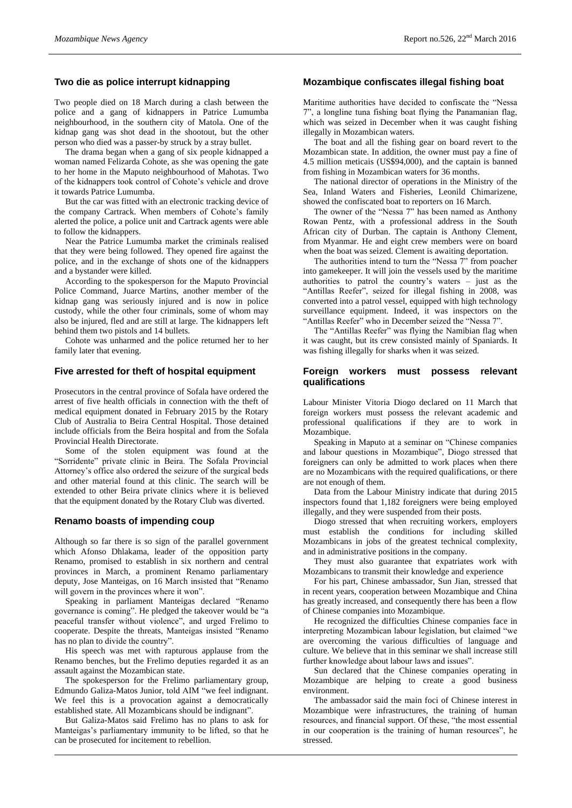# **Two die as police interrupt kidnapping**

Two people died on 18 March during a clash between the police and a gang of kidnappers in Patrice Lumumba neighbourhood, in the southern city of Matola. One of the kidnap gang was shot dead in the shootout, but the other person who died was a passer-by struck by a stray bullet.

The drama began when a gang of six people kidnapped a woman named Felizarda Cohote, as she was opening the gate to her home in the Maputo neighbourhood of Mahotas. Two of the kidnappers took control of Cohote's vehicle and drove it towards Patrice Lumumba.

But the car was fitted with an electronic tracking device of the company Cartrack. When members of Cohote's family alerted the police, a police unit and Cartrack agents were able to follow the kidnappers.

Near the Patrice Lumumba market the criminals realised that they were being followed. They opened fire against the police, and in the exchange of shots one of the kidnappers and a bystander were killed.

According to the spokesperson for the Maputo Provincial Police Command, Juarce Martins, another member of the kidnap gang was seriously injured and is now in police custody, while the other four criminals, some of whom may also be injured, fled and are still at large. The kidnappers left behind them two pistols and 14 bullets.

Cohote was unharmed and the police returned her to her family later that evening.

#### **Five arrested for theft of hospital equipment**

Prosecutors in the central province of Sofala have ordered the arrest of five health officials in connection with the theft of medical equipment donated in February 2015 by the Rotary Club of Australia to Beira Central Hospital. Those detained include officials from the Beira hospital and from the Sofala Provincial Health Directorate.

Some of the stolen equipment was found at the "Sorridente" private clinic in Beira. The Sofala Provincial Attorney's office also ordered the seizure of the surgical beds and other material found at this clinic. The search will be extended to other Beira private clinics where it is believed that the equipment donated by the Rotary Club was diverted.

#### **Renamo boasts of impending coup**

Although so far there is so sign of the parallel government which Afonso Dhlakama, leader of the opposition party Renamo, promised to establish in six northern and central provinces in March, a prominent Renamo parliamentary deputy, Jose Manteigas, on 16 March insisted that "Renamo will govern in the provinces where it won".

Speaking in parliament Manteigas declared "Renamo governance is coming". He pledged the takeover would be "a peaceful transfer without violence", and urged Frelimo to cooperate. Despite the threats, Manteigas insisted "Renamo has no plan to divide the country".

His speech was met with rapturous applause from the Renamo benches, but the Frelimo deputies regarded it as an assault against the Mozambican state.

The spokesperson for the Frelimo parliamentary group, Edmundo Galiza-Matos Junior, told AIM "we feel indignant. We feel this is a provocation against a democratically established state. All Mozambicans should be indignant".

But Galiza-Matos said Frelimo has no plans to ask for Manteigas's parliamentary immunity to be lifted, so that he can be prosecuted for incitement to rebellion.

#### **Mozambique confiscates illegal fishing boat**

Maritime authorities have decided to confiscate the "Nessa 7", a longline tuna fishing boat flying the Panamanian flag, which was seized in December when it was caught fishing illegally in Mozambican waters.

The boat and all the fishing gear on board revert to the Mozambican state. In addition, the owner must pay a fine of 4.5 million meticais (US\$94,000), and the captain is banned from fishing in Mozambican waters for 36 months.

The national director of operations in the Ministry of the Sea, Inland Waters and Fisheries, Leonild Chimarizene, showed the confiscated boat to reporters on 16 March.

The owner of the "Nessa 7" has been named as Anthony Rowan Pentz, with a professional address in the South African city of Durban. The captain is Anthony Clement, from Myanmar. He and eight crew members were on board when the boat was seized. Clement is awaiting deportation.

The authorities intend to turn the "Nessa 7" from poacher into gamekeeper. It will join the vessels used by the maritime authorities to patrol the country's waters – just as the "Antillas Reefer", seized for illegal fishing in 2008, was converted into a patrol vessel, equipped with high technology surveillance equipment. Indeed, it was inspectors on the "Antillas Reefer" who in December seized the "Nessa 7".

The "Antillas Reefer" was flying the Namibian flag when it was caught, but its crew consisted mainly of Spaniards. It was fishing illegally for sharks when it was seized.

#### **Foreign workers must possess relevant qualifications**

Labour Minister Vitoria Diogo declared on 11 March that foreign workers must possess the relevant academic and professional qualifications if they are to work in Mozambique.

Speaking in Maputo at a seminar on "Chinese companies and labour questions in Mozambique", Diogo stressed that foreigners can only be admitted to work places when there are no Mozambicans with the required qualifications, or there are not enough of them.

Data from the Labour Ministry indicate that during 2015 inspectors found that 1,182 foreigners were being employed illegally, and they were suspended from their posts.

Diogo stressed that when recruiting workers, employers must establish the conditions for including skilled Mozambicans in jobs of the greatest technical complexity, and in administrative positions in the company.

They must also guarantee that expatriates work with Mozambicans to transmit their knowledge and experience

For his part, Chinese ambassador, Sun Jian, stressed that in recent years, cooperation between Mozambique and China has greatly increased, and consequently there has been a flow of Chinese companies into Mozambique.

He recognized the difficulties Chinese companies face in interpreting Mozambican labour legislation, but claimed "we are overcoming the various difficulties of language and culture. We believe that in this seminar we shall increase still further knowledge about labour laws and issues".

Sun declared that the Chinese companies operating in Mozambique are helping to create a good business environment.

The ambassador said the main foci of Chinese interest in Mozambique were infrastructures, the training of human resources, and financial support. Of these, "the most essential in our cooperation is the training of human resources", he stressed.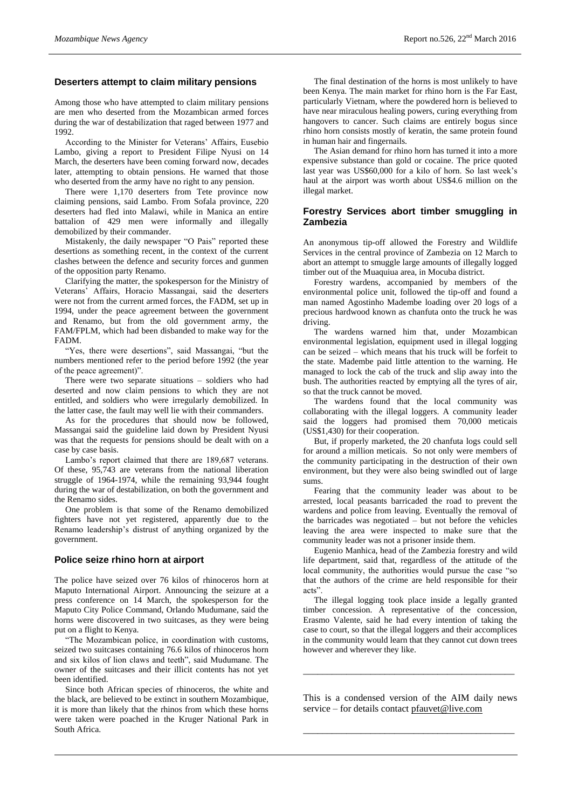#### **Deserters attempt to claim military pensions**

Among those who have attempted to claim military pensions are men who deserted from the Mozambican armed forces during the war of destabilization that raged between 1977 and 1992.

According to the Minister for Veterans' Affairs, Eusebio Lambo, giving a report to President Filipe Nyusi on 14 March, the deserters have been coming forward now, decades later, attempting to obtain pensions. He warned that those who deserted from the army have no right to any pension.

There were 1,170 deserters from Tete province now claiming pensions, said Lambo. From Sofala province, 220 deserters had fled into Malawi, while in Manica an entire battalion of 429 men were informally and illegally demobilized by their commander.

Mistakenly, the daily newspaper "O Pais" reported these desertions as something recent, in the context of the current clashes between the defence and security forces and gunmen of the opposition party Renamo.

Clarifying the matter, the spokesperson for the Ministry of Veterans' Affairs, Horacio Massangai, said the deserters were not from the current armed forces, the FADM, set up in 1994, under the peace agreement between the government and Renamo, but from the old government army, the FAM/FPLM, which had been disbanded to make way for the FADM.

"Yes, there were desertions", said Massangai, "but the numbers mentioned refer to the period before 1992 (the year of the peace agreement)".

There were two separate situations – soldiers who had deserted and now claim pensions to which they are not entitled, and soldiers who were irregularly demobilized. In the latter case, the fault may well lie with their commanders.

As for the procedures that should now be followed, Massangai said the guideline laid down by President Nyusi was that the requests for pensions should be dealt with on a case by case basis.

Lambo's report claimed that there are 189,687 veterans. Of these, 95,743 are veterans from the national liberation struggle of 1964-1974, while the remaining 93,944 fought during the war of destabilization, on both the government and the Renamo sides.

One problem is that some of the Renamo demobilized fighters have not yet registered, apparently due to the Renamo leadership's distrust of anything organized by the government.

# **Police seize rhino horn at airport**

The police have seized over 76 kilos of rhinoceros horn at Maputo International Airport. Announcing the seizure at a press conference on 14 March, the spokesperson for the Maputo City Police Command, Orlando Mudumane, said the horns were discovered in two suitcases, as they were being put on a flight to Kenya.

"The Mozambican police, in coordination with customs, seized two suitcases containing 76.6 kilos of rhinoceros horn and six kilos of lion claws and teeth", said Mudumane. The owner of the suitcases and their illicit contents has not yet been identified.

Since both African species of rhinoceros, the white and the black, are believed to be extinct in southern Mozambique, it is more than likely that the rhinos from which these horns were taken were poached in the Kruger National Park in South Africa.

The final destination of the horns is most unlikely to have been Kenya. The main market for rhino horn is the Far East, particularly Vietnam, where the powdered horn is believed to have near miraculous healing powers, curing everything from hangovers to cancer. Such claims are entirely bogus since rhino horn consists mostly of keratin, the same protein found in human hair and fingernails.

The Asian demand for rhino horn has turned it into a more expensive substance than gold or cocaine. The price quoted last year was US\$60,000 for a kilo of horn. So last week's haul at the airport was worth about US\$4.6 million on the illegal market.

# **Forestry Services abort timber smuggling in Zambezia**

An anonymous tip-off allowed the Forestry and Wildlife Services in the central province of Zambezia on 12 March to abort an attempt to smuggle large amounts of illegally logged timber out of the Muaquiua area, in Mocuba district.

Forestry wardens, accompanied by members of the environmental police unit, followed the tip-off and found a man named Agostinho Madembe loading over 20 logs of a precious hardwood known as chanfuta onto the truck he was driving.

The wardens warned him that, under Mozambican environmental legislation, equipment used in illegal logging can be seized – which means that his truck will be forfeit to the state. Madembe paid little attention to the warning. He managed to lock the cab of the truck and slip away into the bush. The authorities reacted by emptying all the tyres of air, so that the truck cannot be moved.

The wardens found that the local community was collaborating with the illegal loggers. A community leader said the loggers had promised them 70,000 meticais (US\$1,430) for their cooperation.

But, if properly marketed, the 20 chanfuta logs could sell for around a million meticais. So not only were members of the community participating in the destruction of their own environment, but they were also being swindled out of large sums.

Fearing that the community leader was about to be arrested, local peasants barricaded the road to prevent the wardens and police from leaving. Eventually the removal of the barricades was negotiated – but not before the vehicles leaving the area were inspected to make sure that the community leader was not a prisoner inside them.

Eugenio Manhica, head of the Zambezia forestry and wild life department, said that, regardless of the attitude of the local community, the authorities would pursue the case "so that the authors of the crime are held responsible for their acts".

The illegal logging took place inside a legally granted timber concession. A representative of the concession, Erasmo Valente, said he had every intention of taking the case to court, so that the illegal loggers and their accomplices in the community would learn that they cannot cut down trees however and wherever they like.

This is a condensed version of the AIM daily news service – for details contact [pfauvet@live.com](mailto:pfauvet@live.com)

\_\_\_\_\_\_\_\_\_\_\_\_\_\_\_\_\_\_\_\_\_\_\_\_\_\_\_\_\_\_\_\_\_\_\_\_\_\_\_\_\_\_\_\_

\_\_\_\_\_\_\_\_\_\_\_\_\_\_\_\_\_\_\_\_\_\_\_\_\_\_\_\_\_\_\_\_\_\_\_\_\_\_\_\_\_\_\_\_